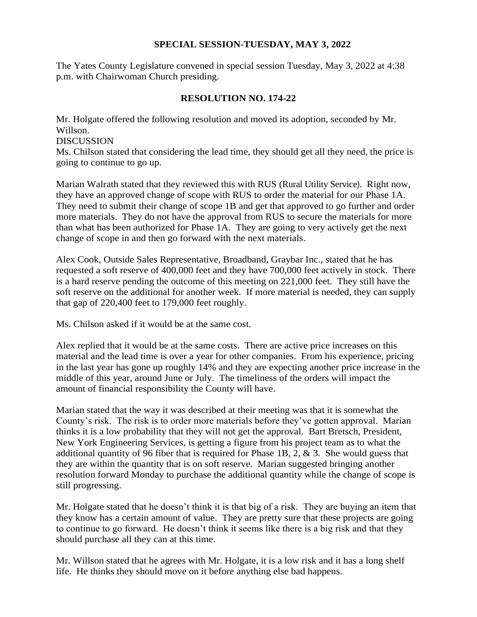#### **SPECIAL SESSION-TUESDAY, MAY 3, 2022**

The Yates County Legislature convened in special session Tuesday, May 3, 2022 at 4:38 p.m. with Chairwoman Church presiding.

### **RESOLUTION NO. 174-22**

Mr. Holgate offered the following resolution and moved its adoption, seconded by Mr. Willson. DISCUSSION Ms. Chilson stated that considering the lead time, they should get all they need, the price is going to continue to go up.

Marian Walrath stated that they reviewed this with RUS (Rural Utility Service). Right now, they have an approved change of scope with RUS to order the material for our Phase 1A. They need to submit their change of scope 1B and get that approved to go further and order more materials. They do not have the approval from RUS to secure the materials for more than what has been authorized for Phase 1A. They are going to very actively get the next change of scope in and then go forward with the next materials.

Alex Cook, Outside Sales Representative, Broadband, Graybar Inc., stated that he has requested a soft reserve of 400,000 feet and they have 700,000 feet actively in stock. There is a hard reserve pending the outcome of this meeting on 221,000 feet. They still have the soft reserve on the additional for another week. If more material is needed, they can supply that gap of 220,400 feet to 179,000 feet roughly.

Ms. Chilson asked if it would be at the same cost.

Alex replied that it would be at the same costs. There are active price increases on this material and the lead time is over a year for other companies. From his experience, pricing in the last year has gone up roughly 14% and they are expecting another price increase in the middle of this year, around June or July. The timeliness of the orders will impact the amount of financial responsibility the County will have.

Marian stated that the way it was described at their meeting was that it is somewhat the County's risk. The risk is to order more materials before they've gotten approval. Marian thinks it is a low probability that they will not get the approval. Bart Bretsch, President, New York Engineering Services, is getting a figure from his project team as to what the additional quantity of 96 fiber that is required for Phase 1B, 2, & 3. She would guess that they are within the quantity that is on soft reserve. Marian suggested bringing another resolution forward Monday to purchase the additional quantity while the change of scope is still progressing.

Mr. Holgate stated that he doesn't think it is that big of a risk. They are buying an item that they know has a certain amount of value. They are pretty sure that these projects are going to continue to go forward. He doesn't think it seems like there is a big risk and that they should purchase all they can at this time.

Mr. Willson stated that he agrees with Mr. Holgate, it is a low risk and it has a long shelf life. He thinks they should move on it before anything else bad happens.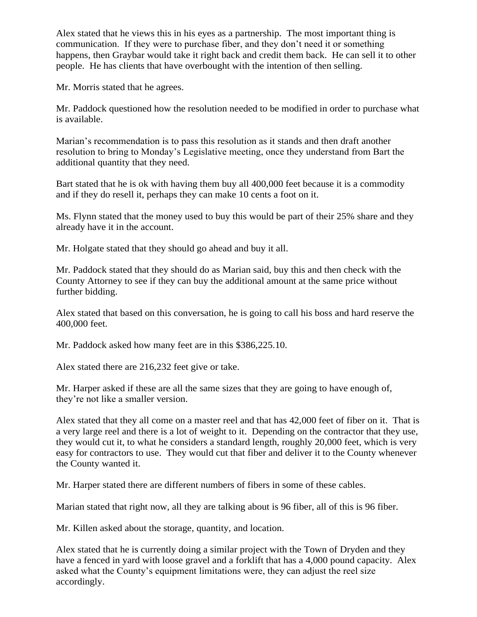Alex stated that he views this in his eyes as a partnership. The most important thing is communication. If they were to purchase fiber, and they don't need it or something happens, then Graybar would take it right back and credit them back. He can sell it to other people. He has clients that have overbought with the intention of then selling.

Mr. Morris stated that he agrees.

Mr. Paddock questioned how the resolution needed to be modified in order to purchase what is available.

Marian's recommendation is to pass this resolution as it stands and then draft another resolution to bring to Monday's Legislative meeting, once they understand from Bart the additional quantity that they need.

Bart stated that he is ok with having them buy all 400,000 feet because it is a commodity and if they do resell it, perhaps they can make 10 cents a foot on it.

Ms. Flynn stated that the money used to buy this would be part of their 25% share and they already have it in the account.

Mr. Holgate stated that they should go ahead and buy it all.

Mr. Paddock stated that they should do as Marian said, buy this and then check with the County Attorney to see if they can buy the additional amount at the same price without further bidding.

Alex stated that based on this conversation, he is going to call his boss and hard reserve the 400,000 feet.

Mr. Paddock asked how many feet are in this \$386,225.10.

Alex stated there are 216,232 feet give or take.

Mr. Harper asked if these are all the same sizes that they are going to have enough of, they're not like a smaller version.

Alex stated that they all come on a master reel and that has 42,000 feet of fiber on it. That is a very large reel and there is a lot of weight to it. Depending on the contractor that they use, they would cut it, to what he considers a standard length, roughly 20,000 feet, which is very easy for contractors to use. They would cut that fiber and deliver it to the County whenever the County wanted it.

Mr. Harper stated there are different numbers of fibers in some of these cables.

Marian stated that right now, all they are talking about is 96 fiber, all of this is 96 fiber.

Mr. Killen asked about the storage, quantity, and location.

Alex stated that he is currently doing a similar project with the Town of Dryden and they have a fenced in yard with loose gravel and a forklift that has a 4,000 pound capacity. Alex asked what the County's equipment limitations were, they can adjust the reel size accordingly.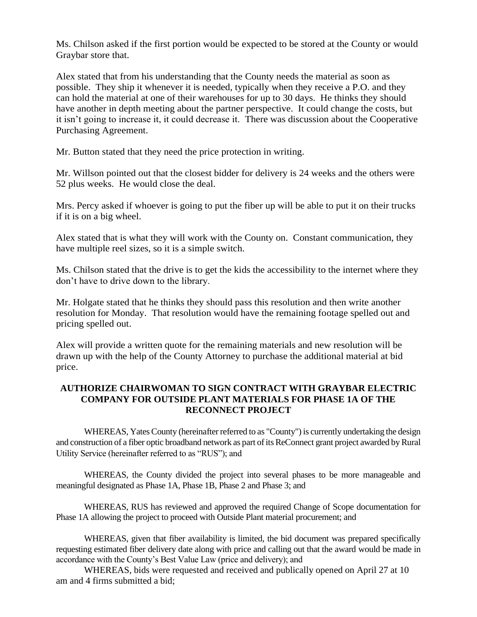Ms. Chilson asked if the first portion would be expected to be stored at the County or would Graybar store that.

Alex stated that from his understanding that the County needs the material as soon as possible. They ship it whenever it is needed, typically when they receive a P.O. and they can hold the material at one of their warehouses for up to 30 days. He thinks they should have another in depth meeting about the partner perspective. It could change the costs, but it isn't going to increase it, it could decrease it. There was discussion about the Cooperative Purchasing Agreement.

Mr. Button stated that they need the price protection in writing.

Mr. Willson pointed out that the closest bidder for delivery is 24 weeks and the others were 52 plus weeks. He would close the deal.

Mrs. Percy asked if whoever is going to put the fiber up will be able to put it on their trucks if it is on a big wheel.

Alex stated that is what they will work with the County on. Constant communication, they have multiple reel sizes, so it is a simple switch.

Ms. Chilson stated that the drive is to get the kids the accessibility to the internet where they don't have to drive down to the library.

Mr. Holgate stated that he thinks they should pass this resolution and then write another resolution for Monday. That resolution would have the remaining footage spelled out and pricing spelled out.

Alex will provide a written quote for the remaining materials and new resolution will be drawn up with the help of the County Attorney to purchase the additional material at bid price.

### **AUTHORIZE CHAIRWOMAN TO SIGN CONTRACT WITH GRAYBAR ELECTRIC COMPANY FOR OUTSIDE PLANT MATERIALS FOR PHASE 1A OF THE RECONNECT PROJECT**

WHEREAS, Yates County (hereinafter referred to as "County") is currently undertaking the design and construction of a fiber optic broadband network as part of its ReConnect grant project awarded by Rural Utility Service (hereinafter referred to as "RUS"); and

WHEREAS, the County divided the project into several phases to be more manageable and meaningful designated as Phase 1A, Phase 1B, Phase 2 and Phase 3; and

WHEREAS, RUS has reviewed and approved the required Change of Scope documentation for Phase 1A allowing the project to proceed with Outside Plant material procurement; and

WHEREAS, given that fiber availability is limited, the bid document was prepared specifically requesting estimated fiber delivery date along with price and calling out that the award would be made in accordance with the County's Best Value Law (price and delivery); and

WHEREAS, bids were requested and received and publically opened on April 27 at 10 am and 4 firms submitted a bid;